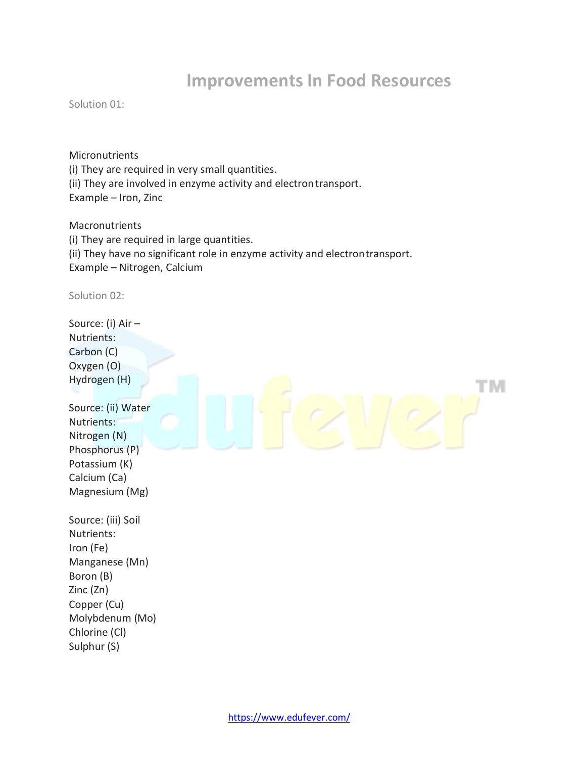# **Improvements In Food Resources**

Solution 01:

**Micronutrients** (i) They are required in very small quantities. (ii) They are involved in enzyme activity and electron transport. Example – Iron, Zinc

**Macronutrients** (i) They are required in large quantities. (ii) They have no significant role in enzyme activity and electrontransport. Example – Nitrogen, Calcium

Solution 02:

Source: (i) Air – Nutrients: Carbon (C) Oxygen (O) Hydrogen (H) TM Source: (ii) Water Nutrients: Nitrogen (N) Phosphorus (P) Potassium (K) Calcium (Ca) Magnesium (Mg) Source: (iii) Soil Nutrients: Iron (Fe) Manganese (Mn) Boron (B) Zinc (Zn) Copper (Cu) Molybdenum (Mo) Chlorine (Cl) Sulphur (S)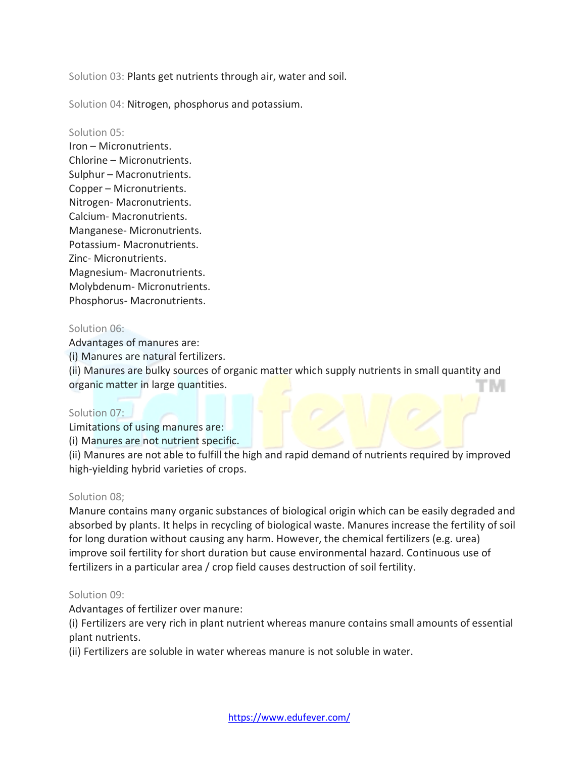Solution 03: Plants get nutrients through air, water and soil.

Solution 04: Nitrogen, phosphorus and potassium.

Solution 05: Iron – Micronutrients. Chlorine – Micronutrients. Sulphur – Macronutrients. Copper – Micronutrients. Nitrogen- Macronutrients. Calcium- Macronutrients. Manganese- Micronutrients. Potassium- Macronutrients. Zinc- Micronutrients. Magnesium- Macronutrients. Molybdenum- Micronutrients. Phosphorus- Macronutrients.

#### Solution 06:

Advantages of manures are:

(i) Manures are natural fertilizers.

(ii) Manures are bulky sources of organic matter which supply nutrients in small quantity and organic matter in large quantities.

### Solution 07:

Limitations of using manures are:

(i) Manures are not nutrient specific.

(ii) Manures are not able to fulfill the high and rapid demand of nutrients required by improved high-yielding hybrid varieties of crops.

#### Solution 08;

Manure contains many organic substances of biological origin which can be easily degraded and absorbed by plants. It helps in recycling of biological waste. Manures increase the fertility of soil for long duration without causing any harm. However, the chemical fertilizers (e.g. urea) improve soil fertility for short duration but cause environmental hazard. Continuous use of fertilizers in a particular area / crop field causes destruction of soil fertility.

#### Solution 09:

Advantages of fertilizer over manure:

(i) Fertilizers are very rich in plant nutrient whereas manure contains small amounts of essential plant nutrients.

(ii) Fertilizers are soluble in water whereas manure is not soluble in water.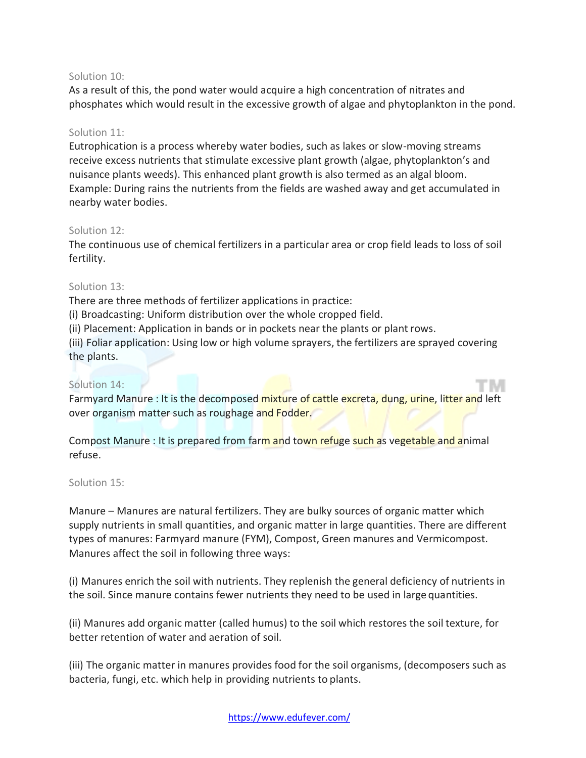### Solution 10:

As a result of this, the pond water would acquire a high concentration of nitrates and phosphates which would result in the excessive growth of algae and phytoplankton in the pond.

#### Solution 11:

Eutrophication is a process whereby water bodies, such as lakes or slow-moving streams receive excess nutrients that stimulate excessive plant growth (algae, phytoplankton's and nuisance plants weeds). This enhanced plant growth is also termed as an algal bloom. Example: During rains the nutrients from the fields are washed away and get accumulated in nearby water bodies.

#### Solution 12:

The continuous use of chemical fertilizers in a particular area or crop field leads to loss of soil fertility.

#### Solution 13:

There are three methods of fertilizer applications in practice:

(i) Broadcasting: Uniform distribution over the whole cropped field.

(ii) Placement: Application in bands or in pockets near the plants or plant rows.

(iii) Foliar application: Using low or high volume sprayers, the fertilizers are sprayed covering the plants.

### Solution 14:

Farmyard Manure : It is the decomposed mixture of cattle excreta, dung, urine, litter and left over organism matter such as roughage and Fodder.

Compost Manure : It is prepared from farm and town refuge such as vegetable and animal refuse.

#### Solution 15:

Manure – Manures are natural fertilizers. They are bulky sources of organic matter which supply nutrients in small quantities, and organic matter in large quantities. There are different types of manures: Farmyard manure (FYM), Compost, Green manures and Vermicompost. Manures affect the soil in following three ways:

(i) Manures enrich the soil with nutrients. They replenish the general deficiency of nutrients in the soil. Since manure contains fewer nutrients they need to be used in large quantities.

(ii) Manures add organic matter (called humus) to the soil which restores the soil texture, for better retention of water and aeration of soil.

(iii) The organic matter in manures provides food for the soil organisms, (decomposers such as bacteria, fungi, etc. which help in providing nutrients to plants.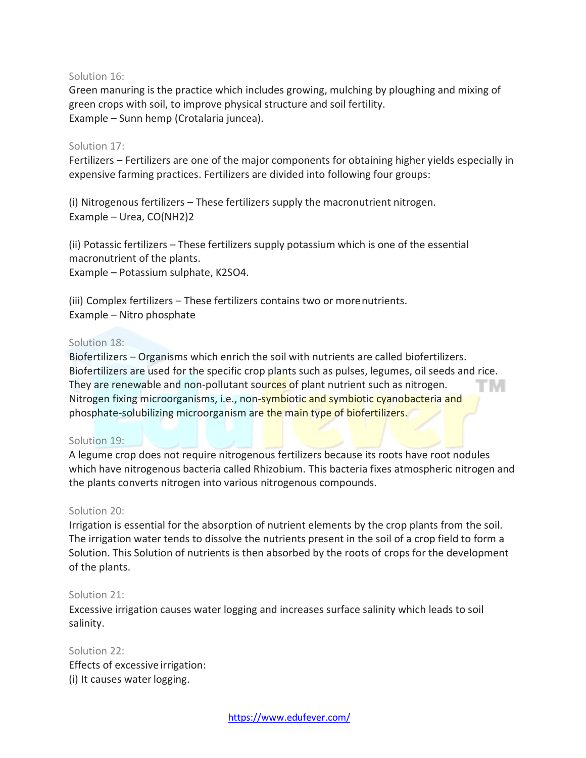### Solution 16:

Green manuring is the practice which includes growing, mulching by ploughing and mixing of green crops with soil, to improve physical structure and soil fertility. Example – Sunn hemp (Crotalaria juncea).

#### Solution 17:

Fertilizers – Fertilizers are one of the major components for obtaining higher yields especially in expensive farming practices. Fertilizers are divided into following four groups:

(i) Nitrogenous fertilizers – These fertilizers supply the macronutrient nitrogen. Example – Urea, CO(NH2)2

(ii) Potassic fertilizers – These fertilizers supply potassium which is one of the essential macronutrient of the plants.

Example – Potassium sulphate, K2SO4.

(iii) Complex fertilizers – These fertilizers contains two or morenutrients. Example – Nitro phosphate

#### Solution 18:

Biofertilizers – Organisms which enrich the soil with nutrients are called biofertilizers. Biofertilizers are used for the specific crop plants such as pulses, legumes, oil seeds and rice. They are renewable and non-pollutant sources of plant nutrient such as nitrogen. Nitrogen fixing microorganisms, i.e., non-symbiotic and symbiotic cyanobacteria and phosphate-solubilizing microorganism are the main type of biofertilizers.

### Solution 19:

A legume crop does not require nitrogenous fertilizers because its roots have root nodules which have nitrogenous bacteria called Rhizobium. This bacteria fixes atmospheric nitrogen and the plants converts nitrogen into various nitrogenous compounds.

#### Solution 20:

Irrigation is essential for the absorption of nutrient elements by the crop plants from the soil. The irrigation water tends to dissolve the nutrients present in the soil of a crop field to form a Solution. This Solution of nutrients is then absorbed by the roots of crops for the development of the plants.

### Solution 21:

Excessive irrigation causes water logging and increases surface salinity which leads to soil salinity.

Solution 22: Effects of excessive irrigation: (i) It causes water logging.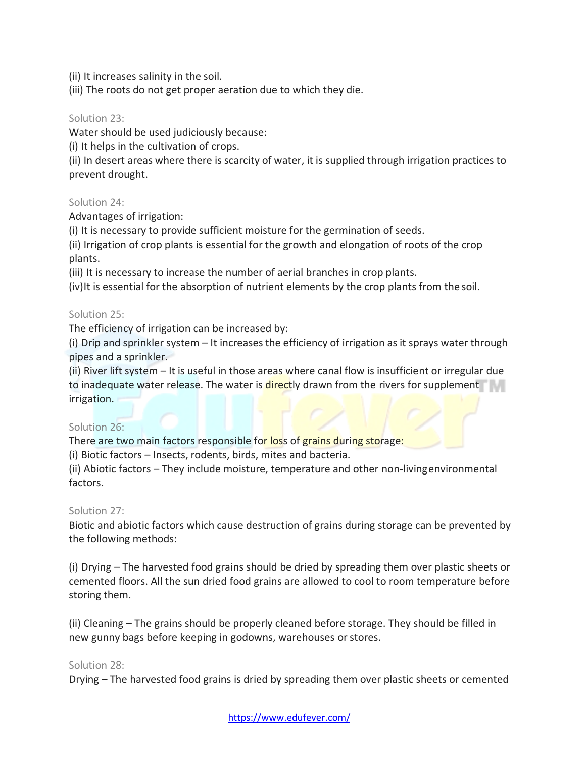(ii) It increases salinity in the soil.

(iii) The roots do not get proper aeration due to which they die.

## Solution 23:

Water should be used judiciously because:

(i) It helps in the cultivation of crops.

(ii) In desert areas where there is scarcity of water, it is supplied through irrigation practices to prevent drought.

### Solution 24:

Advantages of irrigation:

(i) It is necessary to provide sufficient moisture for the germination of seeds.

(ii) Irrigation of crop plants is essential for the growth and elongation of roots of the crop plants.

(iii) It is necessary to increase the number of aerial branches in crop plants.

(iv)It is essential for the absorption of nutrient elements by the crop plants from the soil.

## Solution 25:

The efficiency of irrigation can be increased by:

(i) Drip and sprinkler system  $-1$  tincreases the efficiency of irrigation as it sprays water through pipes and a sprinkler.

(ii) River lift system – It is useful in those areas where canal flow is insufficient or irregular due to inadequate water release. The water is directly drawn from the rivers for supplement irrigation.

### Solution 26:

There are two main factors responsible for loss of grains during storage:

(i) Biotic factors – Insects, rodents, birds, mites and bacteria.

(ii) Abiotic factors – They include moisture, temperature and other non-livingenvironmental factors.

### Solution 27:

Biotic and abiotic factors which cause destruction of grains during storage can be prevented by the following methods:

(i) Drying – The harvested food grains should be dried by spreading them over plastic sheets or cemented floors. All the sun dried food grains are allowed to cool to room temperature before storing them.

(ii) Cleaning – The grains should be properly cleaned before storage. They should be filled in new gunny bags before keeping in godowns, warehouses or stores.

# Solution 28:

Drying – The harvested food grains is dried by spreading them over plastic sheets or cemented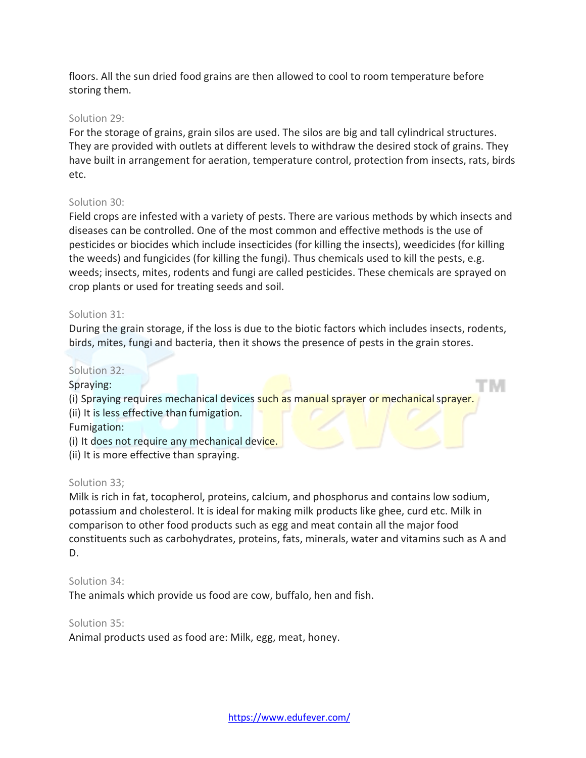floors. All the sun dried food grains are then allowed to cool to room temperature before storing them.

# Solution 29:

For the storage of grains, grain silos are used. The silos are big and tall cylindrical structures. They are provided with outlets at different levels to withdraw the desired stock of grains. They have built in arrangement for aeration, temperature control, protection from insects, rats, birds etc.

# Solution 30:

Field crops are infested with a variety of pests. There are various methods by which insects and diseases can be controlled. One of the most common and effective methods is the use of pesticides or biocides which include insecticides (for killing the insects), weedicides (for killing the weeds) and fungicides (for killing the fungi). Thus chemicals used to kill the pests, e.g. weeds; insects, mites, rodents and fungi are called pesticides. These chemicals are sprayed on crop plants or used for treating seeds and soil.

## Solution 31:

During the grain storage, if the loss is due to the biotic factors which includes insects, rodents, birds, mites, fungi and bacteria, then it shows the presence of pests in the grain stores.

r Mi

## Solution 32:

Spraying:

(i) Spraying requires mechanical devices such as manual sprayer or mechanical sprayer. (ii) It is less effective than fumigation.

Fumigation:

(i) It does not require any mechanical device.

(ii) It is more effective than spraying.

Solution 33;

Milk is rich in fat, tocopherol, proteins, calcium, and phosphorus and contains low sodium, potassium and cholesterol. It is ideal for making milk products like ghee, curd etc. Milk in comparison to other food products such as egg and meat contain all the major food constituents such as carbohydrates, proteins, fats, minerals, water and vitamins such as A and D.

### Solution 34:

The animals which provide us food are cow, buffalo, hen and fish.

Solution 35:

Animal products used as food are: Milk, egg, meat, honey.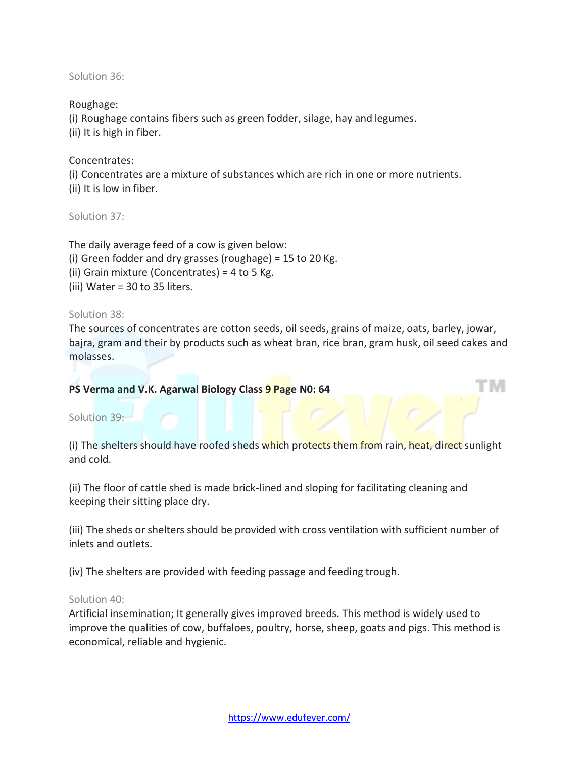Solution 36:

Roughage:

(i) Roughage contains fibers such as green fodder, silage, hay and legumes.

(ii) It is high in fiber.

### Concentrates:

(i) Concentrates are a mixture of substances which are rich in one or more nutrients. (ii) It is low in fiber.

Solution 37:

The daily average feed of a cow is given below: (i) Green fodder and dry grasses (roughage) = 15 to 20 Kg. (ii) Grain mixture (Concentrates) = 4 to 5 Kg. (iii) Water = 30 to 35 liters.

#### Solution 38:

The sources of concentrates are cotton seeds, oil seeds, grains of maize, oats, barley, jowar, bajra, gram and their by products such as wheat bran, rice bran, gram husk, oil seed cakes and molasses.

r M

**PS Verma and V.K. Agarwal Biology Class 9 Page N0: 64**

Solution 39:

(i) The shelters should have roofed sheds which protects them from rain, heat, direct sunlight and cold.

(ii) The floor of cattle shed is made brick-lined and sloping for facilitating cleaning and keeping their sitting place dry.

(iii) The sheds or shelters should be provided with cross ventilation with sufficient number of inlets and outlets.

(iv) The shelters are provided with feeding passage and feeding trough.

### Solution 40:

Artificial insemination; It generally gives improved breeds. This method is widely used to improve the qualities of cow, buffaloes, poultry, horse, sheep, goats and pigs. This method is economical, reliable and hygienic.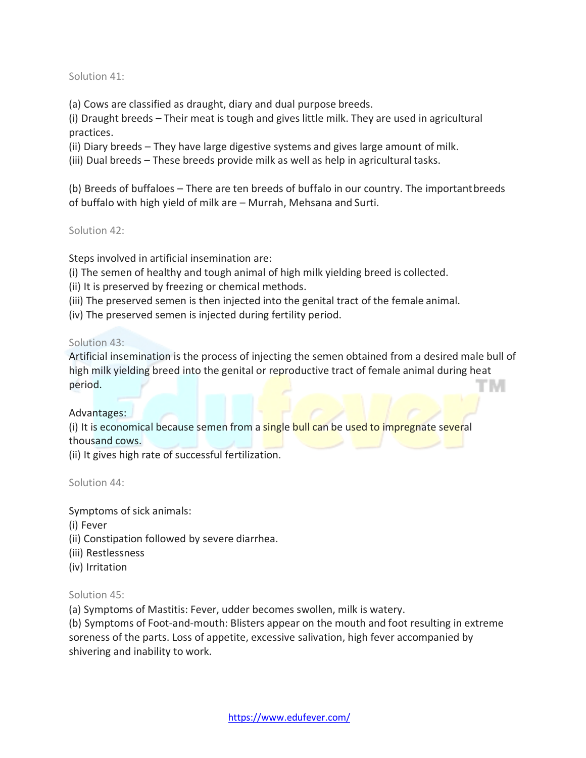Solution 41:

(a) Cows are classified as draught, diary and dual purpose breeds.

(i) Draught breeds – Their meat is tough and gives little milk. They are used in agricultural practices.

(ii) Diary breeds – They have large digestive systems and gives large amount of milk.

(iii) Dual breeds – These breeds provide milk as well as help in agricultural tasks.

(b) Breeds of buffaloes – There are ten breeds of buffalo in our country. The importantbreeds of buffalo with high yield of milk are – Murrah, Mehsana and Surti.

Solution 42:

Steps involved in artificial insemination are:

(i) The semen of healthy and tough animal of high milk yielding breed is collected.

- (ii) It is preserved by freezing or chemical methods.
- (iii) The preserved semen is then injected into the genital tract of the female animal.
- (iv) The preserved semen is injected during fertility period.

Solution 43:

Artificial insemination is the process of injecting the semen obtained from a desired male bull of high milk yielding breed into the genital or reproductive tract of female animal during heat period.

### Advantages:

(i) It is economical because semen from a single bull can be used to impregnate several thousand cows.

(ii) It gives high rate of successful fertilization.

Solution 44:

Symptoms of sick animals:

- (i) Fever
- (ii) Constipation followed by severe diarrhea.
- (iii) Restlessness
- (iv) Irritation

### Solution 45:

(a) Symptoms of Mastitis: Fever, udder becomes swollen, milk is watery.

(b) Symptoms of Foot-and-mouth: Blisters appear on the mouth and foot resulting in extreme soreness of the parts. Loss of appetite, excessive salivation, high fever accompanied by shivering and inability to work.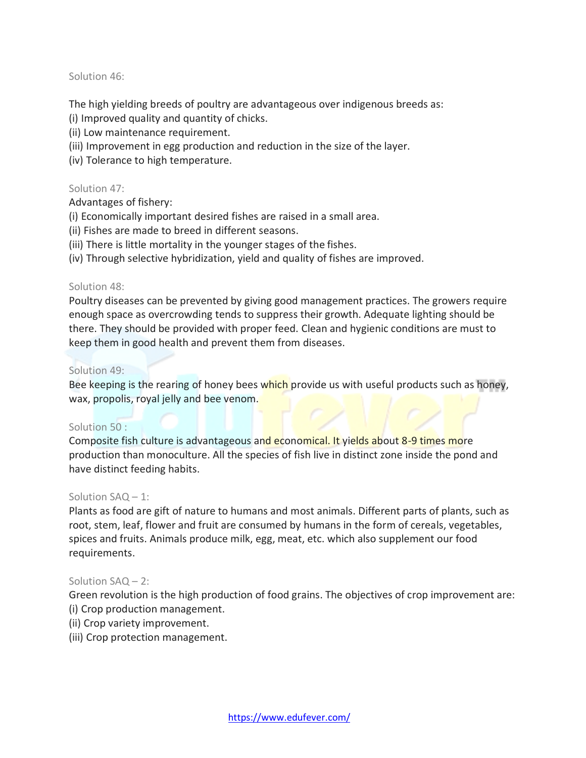Solution 46:

The high yielding breeds of poultry are advantageous over indigenous breeds as:

(i) Improved quality and quantity of chicks.

- (ii) Low maintenance requirement.
- (iii) Improvement in egg production and reduction in the size of the layer.
- (iv) Tolerance to high temperature.

# Solution 47:

Advantages of fishery:

- (i) Economically important desired fishes are raised in a small area.
- (ii) Fishes are made to breed in different seasons.
- (iii) There is little mortality in the younger stages of the fishes.
- (iv) Through selective hybridization, yield and quality of fishes are improved.

## Solution 48:

Poultry diseases can be prevented by giving good management practices. The growers require enough space as overcrowding tends to suppress their growth. Adequate lighting should be there. They should be provided with proper feed. Clean and hygienic conditions are must to keep them in good health and prevent them from diseases.

# Solution 49:

Bee keeping is the rearing of honey bees which provide us with useful products such as honey, wax, propolis, royal jelly and bee venom.

# Solution 50 :

Composite fish culture is advantageous and economical. It yields about 8-9 times more production than monoculture. All the species of fish live in distinct zone inside the pond and have distinct feeding habits.

# Solution SAQ – 1:

Plants as food are gift of nature to humans and most animals. Different parts of plants, such as root, stem, leaf, flower and fruit are consumed by humans in the form of cereals, vegetables, spices and fruits. Animals produce milk, egg, meat, etc. which also supplement our food requirements.

# Solution SAQ – 2:

Green revolution is the high production of food grains. The objectives of crop improvement are: (i) Crop production management.

- (ii) Crop variety improvement.
- (iii) Crop protection management.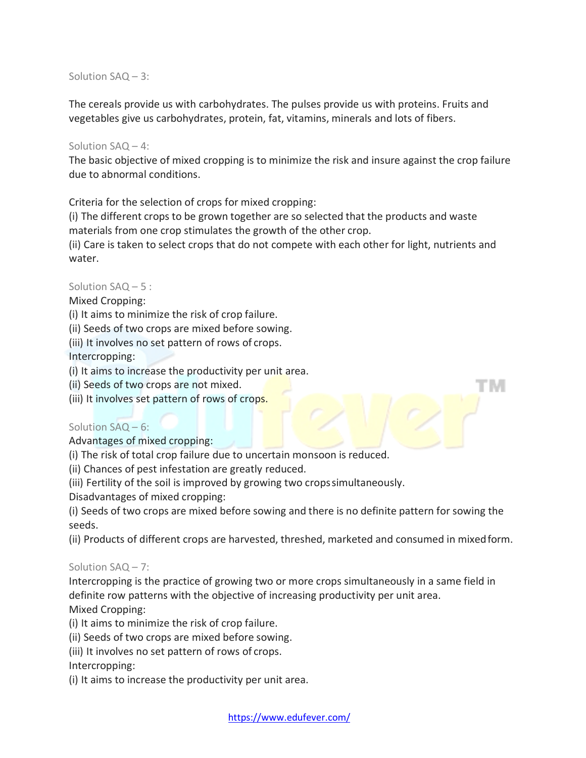Solution  $SAO - 3$ :

The cereals provide us with carbohydrates. The pulses provide us with proteins. Fruits and vegetables give us carbohydrates, protein, fat, vitamins, minerals and lots of fibers.

#### Solution SAQ – 4:

The basic objective of mixed cropping is to minimize the risk and insure against the crop failure due to abnormal conditions.

Criteria for the selection of crops for mixed cropping:

(i) The different crops to be grown together are so selected that the products and waste materials from one crop stimulates the growth of the other crop.

(ii) Care is taken to select crops that do not compete with each other for light, nutrients and water.

### Solution  $SAO - 5$ :

Mixed Cropping:

(i) It aims to minimize the risk of crop failure.

(ii) Seeds of two crops are mixed before sowing.

(iii) It involves no set pattern of rows of crops.

Intercropping:

(i) It aims to increase the productivity per unit area.

(ii) Seeds of two crops are not mixed.

(iii) It involves set pattern of rows of crops.

# Solution SAQ – 6:

Advantages of mixed cropping:

(i) The risk of total crop failure due to uncertain monsoon is reduced.

(ii) Chances of pest infestation are greatly reduced.

(iii) Fertility of the soil is improved by growing two cropssimultaneously.

Disadvantages of mixed cropping:

(i) Seeds of two crops are mixed before sowing and there is no definite pattern for sowing the seeds.

T M

(ii) Products of different crops are harvested, threshed, marketed and consumed in mixedform.

### Solution SAQ – 7:

Intercropping is the practice of growing two or more crops simultaneously in a same field in definite row patterns with the objective of increasing productivity per unit area. Mixed Cropping:

(i) It aims to minimize the risk of crop failure.

(ii) Seeds of two crops are mixed before sowing.

(iii) It involves no set pattern of rows of crops.

Intercropping:

(i) It aims to increase the productivity per unit area.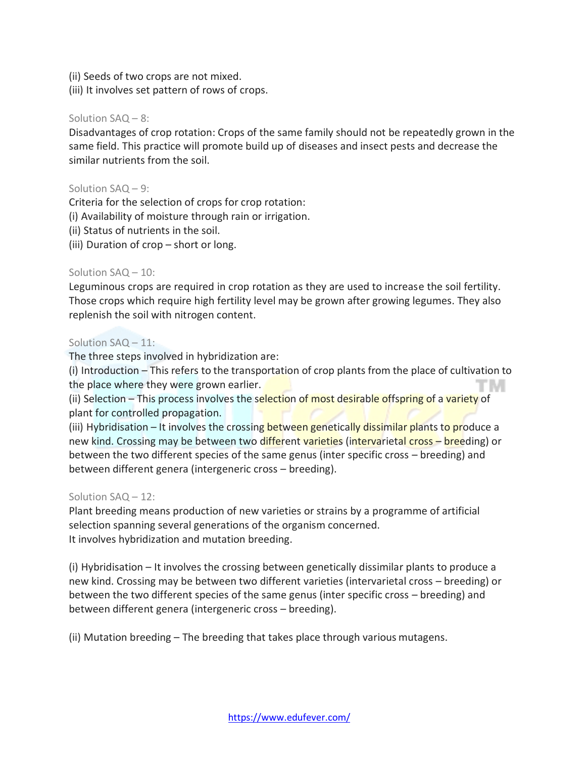(ii) Seeds of two crops are not mixed. (iii) It involves set pattern of rows of crops.

## Solution SAQ – 8:

Disadvantages of crop rotation: Crops of the same family should not be repeatedly grown in the same field. This practice will promote build up of diseases and insect pests and decrease the similar nutrients from the soil.

## Solution SAQ – 9:

Criteria for the selection of crops for crop rotation: (i) Availability of moisture through rain or irrigation. (ii) Status of nutrients in the soil. (iii) Duration of crop – short or long.

### Solution SAQ – 10:

Leguminous crops are required in crop rotation as they are used to increase the soil fertility. Those crops which require high fertility level may be grown after growing legumes. They also replenish the soil with nitrogen content.

## Solution SAQ – 11:

The three steps involved in hybridization are:

(i) Introduction – This refers to the transportation of crop plants from the place of cultivation to the place where they were grown earlier.

(ii) Selection – This process involves the selection of most desirable offspring of a variety of plant for controlled propagation.

(iii) Hybridisation – It involves the crossing between genetically dissimilar plants to produce a new kind. Crossing may be between two different varieties (intervarietal cross – breeding) or between the two different species of the same genus (inter specific cross – breeding) and between different genera (intergeneric cross – breeding).

### Solution SAQ – 12:

Plant breeding means production of new varieties or strains by a programme of artificial selection spanning several generations of the organism concerned. It involves hybridization and mutation breeding.

(i) Hybridisation – It involves the crossing between genetically dissimilar plants to produce a new kind. Crossing may be between two different varieties (intervarietal cross – breeding) or between the two different species of the same genus (inter specific cross – breeding) and between different genera (intergeneric cross – breeding).

(ii) Mutation breeding – The breeding that takes place through various mutagens.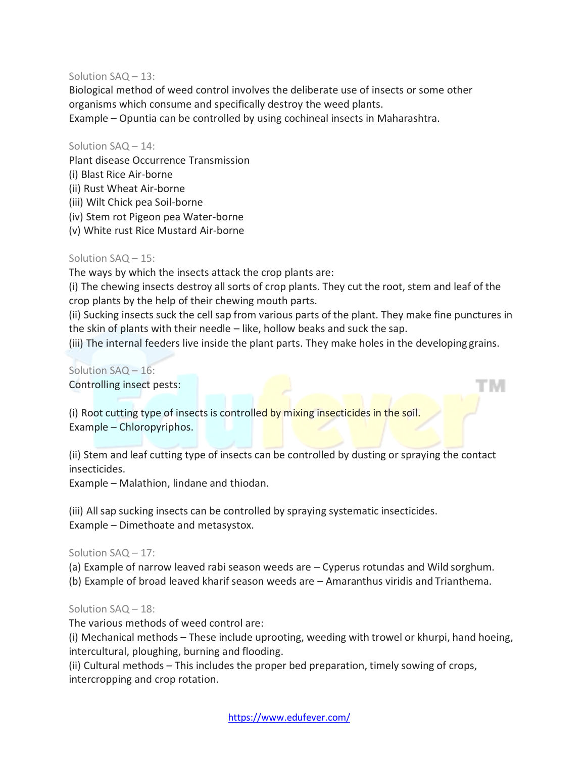Solution SAQ – 13:

Biological method of weed control involves the deliberate use of insects or some other organisms which consume and specifically destroy the weed plants.

Example – Opuntia can be controlled by using cochineal insects in Maharashtra.

#### Solution SAQ – 14:

Plant disease Occurrence Transmission

- (i) Blast Rice Air-borne
- (ii) Rust Wheat Air-borne
- (iii) Wilt Chick pea Soil-borne

(iv) Stem rot Pigeon pea Water-borne

(v) White rust Rice Mustard Air-borne

## Solution SAQ – 15:

The ways by which the insects attack the crop plants are:

(i) The chewing insects destroy all sorts of crop plants. They cut the root, stem and leaf of the crop plants by the help of their chewing mouth parts.

(ii) Sucking insects suck the cell sap from various parts of the plant. They make fine punctures in the skin of plants with their needle – like, hollow beaks and suck the sap.

TW.

(iii) The internal feeders live inside the plant parts. They make holes in the developing grains.

Solution SAQ – 16:

Controlling insect pests:

(i) Root cutting type of insects is controlled by mixing insecticides in the soil. Example – Chloropyriphos.

(ii) Stem and leaf cutting type of insects can be controlled by dusting or spraying the contact insecticides.

Example – Malathion, lindane and thiodan.

(iii) All sap sucking insects can be controlled by spraying systematic insecticides. Example – Dimethoate and metasystox.

### Solution SAQ – 17:

(a) Example of narrow leaved rabi season weeds are – Cyperus rotundas and Wild sorghum.

(b) Example of broad leaved kharif season weeds are – Amaranthus viridis and Trianthema.

### Solution SAQ – 18:

The various methods of weed control are:

(i) Mechanical methods – These include uprooting, weeding with trowel or khurpi, hand hoeing, intercultural, ploughing, burning and flooding.

(ii) Cultural methods – This includes the proper bed preparation, timely sowing of crops, intercropping and crop rotation.